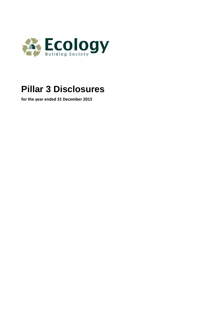

# **Pillar 3 Disclosures**

**for the year ended 31 December 2015**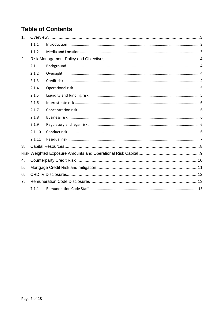## **Table of Contents**

| 1 <sub>1</sub> |        |  |  |  |  |  |
|----------------|--------|--|--|--|--|--|
|                | 1.1.1  |  |  |  |  |  |
|                | 1.1.2  |  |  |  |  |  |
| 2.             |        |  |  |  |  |  |
|                | 2.1.1  |  |  |  |  |  |
|                | 2.1.2  |  |  |  |  |  |
|                | 2.1.3  |  |  |  |  |  |
|                | 2.1.4  |  |  |  |  |  |
|                | 2.1.5  |  |  |  |  |  |
|                | 2.1.6  |  |  |  |  |  |
|                | 2.1.7  |  |  |  |  |  |
|                | 2.1.8  |  |  |  |  |  |
|                | 2.1.9  |  |  |  |  |  |
|                | 2.1.10 |  |  |  |  |  |
|                | 2.1.11 |  |  |  |  |  |
| 3.             |        |  |  |  |  |  |
|                |        |  |  |  |  |  |
| 4.             |        |  |  |  |  |  |
| 5.             |        |  |  |  |  |  |
| 6.             |        |  |  |  |  |  |
| 7.             |        |  |  |  |  |  |
|                | 7.1.1  |  |  |  |  |  |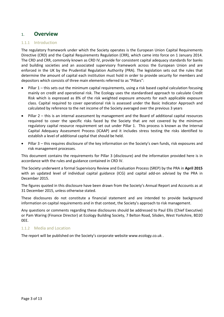## 1. **Overview**

#### 1.1.1 Introduction

The regulatory framework under which the Society operates is the European Union Capital Requirements Directive (CRD) and the Capital Requirements Regulation (CRR), which came into force on 1 January 2014. The CRD and CRR, commonly known as CRD IV, provide for consistent capital adequacy standards for banks and building societies and an associated supervisory framework across the European Union and are enforced in the UK by the Prudential Regulation Authority (PRA). The legislation sets out the rules that determine the amount of capital each institution must hold in order to provide security for members and depositors which consists of three main elements referred to as "Pillars":

- Pillar 1 this sets out the minimum capital requirements, using a risk based capital calculation focusing mainly on credit and operational risk. The Ecology uses the standardised approach to calculate Credit Risk which is expressed as 8% of the risk weighted exposure amounts for each applicable exposure class. Capital required to cover operational risk is assessed under the Basic Indicator Approach and calculated by reference to the net income of the Society averaged over the previous 3 years
- Pillar 2 this is an internal assessment by management and the Board of additional capital resources required to cover the specific risks faced by the Society that are not covered by the minimum regulatory capital resource requirement set out under Pillar 1. This process is known as the Internal Capital Adequacy Assessment Process (ICAAP) and it includes stress testing the risks identified to establish a level of additional capital that should be held.
- Pillar 3 this requires disclosure of the key information on the Society's own funds, risk exposures and risk management processes.

This document contains the requirements for Pillar 3 (disclosure) and the information provided here is in accordance with the rules and guidance contained in CRD IV.

The Society underwent a formal Supervisory Review and Evaluation Process (SREP) by the PRA in **April 2015** with an updated level of individual capital guidance (ICG) and capital add-on advised by the PRA in December 2015.

The figures quoted in this disclosure have been drawn from the Society's Annual Report and Accounts as at 31 December 2015, unless otherwise stated.

These disclosures do not constitute a financial statement and are intended to provide background information on capital requirements and in that context, the Society's approach to risk management.

Any questions or comments regarding these disclosures should be addressed to Paul Ellis (Chief Executive) or Pam Waring (Finance Director) at Ecology Building Society, 7 Belton Road, Silsden, West Yorkshire, BD20 0EE.

#### 1.1.2 Media and Location

The report will be published on the Society's corporate website [www.ecology.co.uk](http://www.ecology.co.uk/) .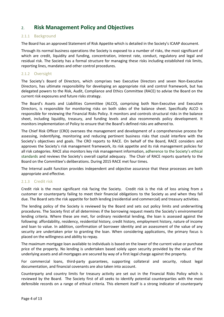## 2. **Risk Management Policy and Objectives**

#### 2.1.1 Background

The Board has an approved Statement of Risk Appetite which is detailed in the Society's ICAAP document.

Through its normal business operations the Society is exposed to a number of risks, the most significant of which are credit, liquidity and funding, concentration, interest rate, conduct, regulatory and legal and residual risk. The Society has a formal structure for managing these risks including established risk limits, reporting lines, mandates and other control procedures.

#### 2.1.2 Oversight

The Society's Board of Directors, which comprises two Executive Directors and seven Non-Executive Directors, has ultimate responsibility for developing an appropriate risk and control framework, but has delegated powers to the Risk, Audit, Compliance and Ethics Committee (RACE) to advise the Board on the current risk exposures and future risks strategy.

The Board's Assets and Liabilities Committee (ALCO), comprising both Non-Executive and Executive Directors, is responsible for monitoring risks on both sides of the balance sheet. Specifically ALCO is responsible for reviewing the Financial Risks Policy. It monitors and controls structural risks in the balance sheet, including liquidity, treasury, and funding levels and also recommends policy development. It monitors implementation of Policy to ensure that the Board's defined risks are adhered to.

The Chief Risk Officer (CRO) oversees the management and development of a comprehensive process for assessing, indentifying, monitoring and reducing pertinent business risks that could interfere with the Society's objectives and goals. The CRO reports to RACE. On behalf of the Board, RACE considers and approves the Society's risk management framework, its risk appetite and its risk management policies for all risk categories. RACE also monitors key risk management information, adherence to the Society's ethical standards and reviews the Society's overall capital adequacy. The Chair of RACE reports quarterly to the Board on the Committee's deliberations. During 2015 RACE met four times.

The Internal audit function provides independent and objective assurance that these processes are both appropriate and effective.

#### 2.1.3 Credit risk

Credit risk is the most significant risk facing the Society. Credit risk is the risk of loss arising from a customer or counterparty failing to meet their financial obligations to the Society as and when they fall due. The Board sets the risk appetite for both lending (residential and commercial) and treasury activities.

The lending policy of the Society is reviewed by the Board and sets out policy limits and underwriting procedures. The Society first of all determines if the borrowing request meets the Society's environmental lending criteria. Where these are met, for ordinary residential lending, the loan is assessed against the following: affordability, residency, residential history, credit history, employment history, nature of income and loan to value. In addition, confirmation of borrower identity and an assessment of the value of any security are undertaken prior to granting the loan. When considering applications, the primary focus is placed on the willingness and ability to repay.

The maximum mortgage loan available to individuals is based on the lower of the current value or purchase price of the property. No lending is undertaken based solely upon security provided by the value of the underlying assets and all mortgages are secured by way of a first legal charge against the property.

For commercial loans, third-party guarantees, supporting collateral and security, robust legal documentation, and financial covenants are also taken into account.

Counterparty and country limits for treasury activity are set out in the Financial Risks Policy which is reviewed by the Board. The Society first of all seeks to identify potential counterparties with the most defensible records on a range of ethical criteria. This element itself is a strong indicator of counterparty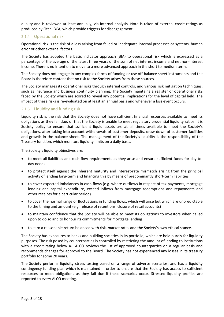quality and is reviewed at least annually, via internal analysis. Note is taken of external credit ratings as produced by Fitch IBCA, which provide triggers for disengagement.

#### 2.1.4 Operational risk

Operational risk is the risk of a loss arising from failed or inadequate internal processes or systems, human error or other external factors.

The Society has adopted the basic indicator approach (BIA) to operational risk which is expressed as a percentage of the average of the latest three years of the sum of net interest income and net non-interest income. There is no intention to move to a more advanced approach in the short to medium term.

The Society does not engage in any complex forms of funding or use off-balance sheet instruments and the Board is therefore content that no risk to the Society arises from these sources.

The Society manages its operational risks through internal controls, and various risk mitigation techniques, such as insurance and business continuity planning. The Society maintains a register of operational risks faced by the Society which are scored to reveal any potential implications for the level of capital held. The impact of these risks is re-evaluated on at least an annual basis and whenever a loss event occurs.

#### 2.1.5 Liquidity and funding risk

Liquidity risk is the risk that the Society does not have sufficient financial resources available to meet its obligations as they fall due, or that the Society is unable to meet regulatory prudential liquidity ratios. It is Society policy to ensure that sufficient liquid assets are at all times available to meet the Society's obligations, after taking into account withdrawals of customer deposits, draw-down of customer facilities and growth in the balance sheet. The management of the Society's liquidity is the responsibility of the Treasury function, which monitors liquidity limits on a daily basis.

The Society's liquidity objectives are:

- to meet all liabilities and cash-flow requirements as they arise and ensure sufficient funds for day-today needs
- to protect itself against the inherent maturity and interest-rate mismatch arising from the principal activity of lending long-term and financing this by means of predominantly short-term liabilities
- to cover expected imbalances in cash flows (e.g. where outflows in respect of tax payments, mortgage lending and capital expenditure, exceed inflows from mortgage redemptions and repayments and other receipts for a particular period)
- to cover the normal range of fluctuations in funding flows, which will arise but which are unpredictable to the timing and amount (e.g. release of retentions, closure of retail accounts)
- to maintain confidence that the Society will be able to meet its obligations to investors when called upon to do so and to honour its commitments for mortgage lending
- to earn a reasonable return balanced with risk, market rates and the Society's own ethical stance.

The Society has exposures to banks and building societies in its portfolio, which are held purely for liquidity purposes. The risk posed by counterparties is controlled by restricting the amount of lending to institutions with a credit rating below A-. ALCO reviews the list of approved counterparties on a regular basis and recommends changes for approval to the Board. The Society has not experienced any losses in its treasury portfolio for some 20 years.

The Society performs liquidity stress testing based on a range of adverse scenarios, and has a liquidity contingency funding plan which is maintained in order to ensure that the Society has access to sufficient resources to meet obligations as they fall due if these scenarios occur. Stressed liquidity profiles are reported to every ALCO meeting.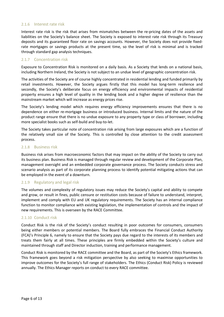#### 2.1.6 Interest rate risk

Interest rate risk is the risk that arises from mismatches between the re-pricing dates of the assets and liabilities on the Society's balance sheet. The Society is exposed to interest rate risk through its Treasury deposits and its guaranteed floor rate on savings accounts. However, the Society does not provide fixedrate mortgages or savings products at the present time, so the level of risk is minimal and is tracked through standard gap analysis techniques.

#### 2.1.7 Concentration risk

Exposure to Concentration Risk is monitored on a daily basis. As a Society that lends on a national basis, including Northern Ireland, the Society is not subject to an undue level of geographic concentration risk.

The activities of the Society are of course highly concentrated in residential lending and funded primarily by retail investments. However, the Society argues firstly that this model has long-term resilience and secondly, the Society's deliberate focus on energy efficiency and environmental impacts of residential property ensures a high level of quality in the lending book and a higher degree of resilience than the mainstream market which will increase as energy prices rise.

The Society's lending model which requires energy efficiency improvements ensures that there is no dependence on either re-mortgage business or introduced business. Internal limits and the nature of the product range ensure that there is no undue exposure to any property type or class of borrower, including more specialist books such as self-build and buy-to-let.

The Society takes particular note of concentration risk arising from large exposures which are a function of the relatively small size of the Society. This is controlled by close attention to the credit assessment process.

#### 2.1.8 Business risk

Business risk arises from macroeconomic factors that may impact on the ability of the Society to carry out its business plan. Business Risk is managed through regular review and development of the Corporate Plan, management oversight and an embedded corporate governance process. The Society conducts stress and scenario analysis as part of its corporate planning process to identify potential mitigating actions that can be employed in the event of a downturn.

#### 2.1.9 Regulatory and legal risk

The volumes and complexity of regulatory issues may reduce the Society's capital and ability to compete and grow, or result in fines, public censure or restitution costs because of failure to understand, interpret, implement and comply with EU and UK regulatory requirements. The Society has an internal compliance function to monitor compliance with existing legislation, the implementation of controls and the impact of new requirements. This is overseen by the RACE Committee.

#### 2.1.10 Conduct risk

Conduct Risk is the risk of the Society's conduct resulting in poor outcomes for consumers, consumers being either members or potential members. The Board fully embraces the Financial Conduct Authority (FCA)'s Principle 6, namely to ensure that the Society pays due regard to the interests of its members and treats them fairly at all times. These principles are firmly embedded within the Society's culture and maintained through staff and Director induction, training and performance management.

Conduct Risk is monitored by the RACE committee and the Board, as part of the Society's Ethics framework. This framework goes beyond a risk mitigation perspective by also seeking to maximise opportunities to improve outcomes for the Society's full range of stakeholders. The Ethics (Conduct Risk) Policy is reviewed annually. The Ethics Manager reports on conduct to every RACE committee.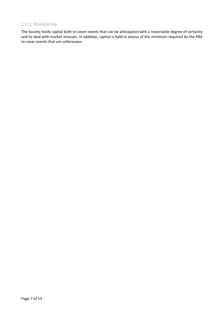#### 2.1.11 Residual risk

The Society holds capital both to cover events that can be anticipated with a reasonable degree of certainty and to deal with market stresses. In addition, capital is held in excess of the minimum required by the PRA to cover events that are unforeseen.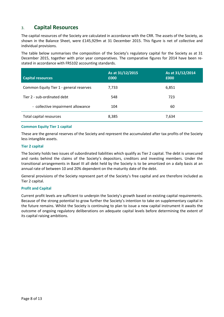## 3. **Capital Resources**

The capital resources of the Society are calculated in accordance with the CRR. The assets of the Society, as shown in the Balance Sheet, were £145,929m at 31 December 2015. This figure is net of collective and individual provisions.

The table below summarises the composition of the Society's regulatory capital for the Society as at 31 December 2015, together with prior year comparatives. The comparative figures for 2014 have been restated in accordance with FRS102 accounting standards.

| <b>Capital resources</b>                | As at 31/12/2015<br>£000 | As at 31/12/2014<br>£000 |
|-----------------------------------------|--------------------------|--------------------------|
| Common Equity Tier 1 - general reserves | 7,733                    | 6,851                    |
| Tier 2 - sub-ordinated debt             | 548                      | 723                      |
| - collective impairment allowance       | 104                      | 60                       |
| Total capital resources                 | 8,385                    | 7,634                    |

#### **Common Equity Tier 1 capital**

These are the general reserves of the Society and represent the accumulated after tax profits of the Society less intangible assets.

#### **Tier 2 capital**

The Society holds two issues of subordinated liabilities which qualify as Tier 2 capital. The debt is unsecured and ranks behind the claims of the Society's depositors, creditors and investing members. Under the transitional arrangements in Basel III all debt held by the Society is to be amortized on a daily basis at an annual rate of between 10 and 20% dependent on the maturity date of the debt.

General provisions of the Society represent part of the Society's free capital and are therefore included as Tier 2 capital.

#### **Profit and Capital**

Current profit levels are sufficient to underpin the Society's growth based on existing capital requirements. Because of the strong potential to grow further the Society's intention to take on supplementary capital in the future remains. Whilst the Society is continuing to plan to issue a new capital instrument it awaits the outcome of ongoing regulatory deliberations on adequate capital levels before determining the extent of its capital raising ambitions.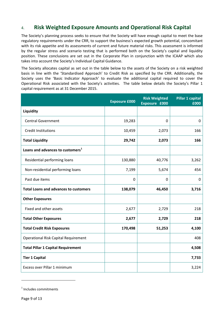## 4. **Risk Weighted Exposure Amounts and Operational Risk Capital**

The Society's planning process seeks to ensure that the Society will have enough capital to meet the base regulatory requirements under the CRR, to support the business's expected growth potential, concomitant with its risk appetite and its assessments of current and future material risks. This assessment is informed by the regular stress and scenario testing that is performed both on the Society's capital and liquidity position. These conclusions are set out in the Corporate Plan in conjunction with the ICAAP which also takes into account the Society's Individual Capital Guidance.

The Society allocates capital as set out in the table below to the assets of the Society on a risk weighted basis in line with the 'Standardised Approach' to Credit Risk as specified by the CRR. Additionally, the Society uses the 'Basic Indicator Approach' to evaluate the additional capital required to cover the Operational Risk associated with the Society's activities. The table below details the Society's Pillar 1 capital requirement as at 31 December 2015.

|                                              | <b>Exposure £000</b> | <b>Risk Weighted</b><br>Exposure £000 | <b>Pillar 1 capital</b><br>£000 |
|----------------------------------------------|----------------------|---------------------------------------|---------------------------------|
| Liquidity                                    |                      |                                       |                                 |
| <b>Central Government</b>                    | 19,283               | 0                                     | $\mathbf 0$                     |
| <b>Credit Institutions</b>                   | 10,459               | 2,073                                 | 166                             |
| <b>Total Liquidity</b>                       | 29,742               | 2,073                                 | 166                             |
| Loans and advances to customers <sup>1</sup> |                      |                                       |                                 |
| Residential performing loans                 | 130,880              | 40,776                                | 3,262                           |
| Non-residential performing loans             | 7,199                | 5,674                                 | 454                             |
| Past due items                               | $\mathbf 0$          | 0                                     | 0                               |
| <b>Total Loans and advances to customers</b> | 138,079              | 46,450                                | 3,716                           |
| <b>Other Exposures</b>                       |                      |                                       |                                 |
| Fixed and other assets                       | 2,677                | 2,729                                 | 218                             |
| <b>Total Other Exposures</b>                 | 2,677                | 2,729                                 | 218                             |
| <b>Total Credit Risk Exposures</b>           | 170,498              | 51,253                                | 4,100                           |
| <b>Operational Risk Capital Requirement</b>  |                      |                                       | 408                             |
| <b>Total Pillar 1 Capital Requirement</b>    |                      |                                       | 4,508                           |
| <b>Tier 1 Capital</b>                        |                      |                                       | 7,733                           |
| Excess over Pillar 1 minimum                 |                      |                                       | 3,224                           |

<span id="page-8-0"></span><sup>1</sup> Includes commitments

 $\overline{\phantom{a}}$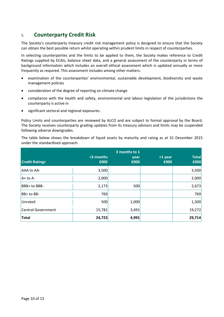## 5. **Counterparty Credit Risk**

The Society's counterparty treasury credit risk management policy is designed to ensure that the Society can obtain the best possible return whilst operating within prudent limits in respect of counterparties.

In selecting counterparties and the limits to be applied to them, the Society makes reference to Credit Ratings supplied by ECAIs, balance sheet data, and a general assessment of the counterparty in terms of background information which includes an overall ethical assessment which is updated annually or more frequently as required. This assessment includes among other matters:

- examination of the counterparties' environmental, sustainable development, biodiversity and waste management policies
- consideration of the degree of reporting on climate change
- compliance with the health and safety, environmental and labour legislation of the jurisdictions the counterparty is active in
- significant sectoral and regional exposures.

Policy Limits and counterparties are reviewed by ALCO and are subject to formal approval by the Board. The Society receives counterparty grading updates from its treasury advisors and limits may be suspended following adverse downgrades.

The table below shows the breakdown of liquid assets by maturity and rating as at 31 December 2015 under the standardised approach.

| <b>Credit Ratings</b> | <3 months<br>£000 | 3 months to 1<br>year<br>£000 | >1 year<br>£000 | <b>Total</b><br>£000 |
|-----------------------|-------------------|-------------------------------|-----------------|----------------------|
| <b>AAA to AA-</b>     | 3,500             |                               |                 | 3,500                |
| $A+$ to $A-$          | 2,000             |                               |                 | 2,000                |
| BBB+ to BBB-          | 2,173             | 500                           |                 | 2,673                |
| BB+ to BB-            | 769               |                               |                 | 769                  |
| Unrated               | 500               | 1,000                         |                 | 1,500                |
| Central Government    | 15,781            | 3,491                         |                 | 19,272               |
| <b>Total</b>          | 24,723            | 4,991                         |                 | 29,714               |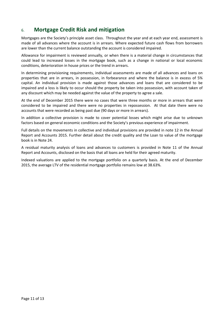## 6. **Mortgage Credit Risk and mitigation**

Mortgages are the Society's principle asset class. Throughout the year and at each year end, assessment is made of all advances where the account is in arrears. Where expected future cash flows from borrowers are lower than the current balance outstanding the account is considered impaired.

Allowance for impairment is reviewed annually, or when there is a material change in circumstances that could lead to increased losses in the mortgage book, such as a change in national or local economic conditions, deterioration in house prices or the trend in arrears.

In determining provisioning requirements, individual assessments are made of all advances and loans on properties that are in arrears, in possession, in forbearance and where the balance is in excess of 5% capital. An individual provision is made against those advances and loans that are considered to be impaired and a loss is likely to occur should the property be taken into possession, with account taken of any discount which may be needed against the value of the property to agree a sale.

At the end of December 2015 there were no cases that were three months or more in arrears that were considered to be impaired and there were no properties in repossession. At that date there were no accounts that were recorded as being past due (90 days or more in arrears).

In addition a collective provision is made to cover potential losses which might arise due to unknown factors based on general economic conditions and the Society's previous experience of impairment.

Full details on the movements in collective and individual provisions are provided in note 12 in the Annual Report and Accounts 2015. Further detail about the credit quality and the Loan to value of the mortgage book is in Note 24.

A residual maturity analysis of loans and advances to customers is provided in Note 11 of the Annual Report and Accounts, disclosed on the basis that all loans are held for their agreed maturity.

Indexed valuations are applied to the mortgage portfolio on a quarterly basis. At the end of December 2015, the average LTV of the residential mortgage portfolio remains low at 38.63%.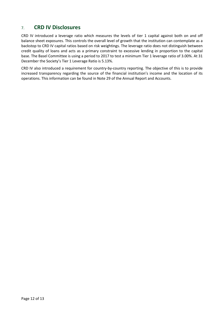## 7. **CRD IV Disclosures**

CRD IV introduced a leverage ratio which measures the levels of tier 1 capital against both on and off balance sheet exposures. This controls the overall level of growth that the institution can contemplate as a backstop to CRD IV capital ratios based on risk weightings. The leverage ratio does not distinguish between credit quality of loans and acts as a primary constraint to excessive lending in proportion to the capital base. The Basel Committee is using a period to 2017 to test a minimum Tier 1 leverage ratio of 3.00%. At 31 December the Society's Tier 1 Leverage Ratio is 5.13%.

CRD IV also introduced a requirement for country-by-country reporting. The objective of this is to provide increased transparency regarding the source of the financial institution's income and the location of its operations. This information can be found in Note 29 of the Annual Report and Accounts.